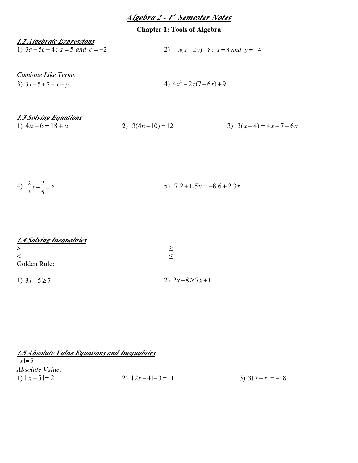| Algebra 2 - I <sup>st</sup> Semester Notes |  |  |
|--------------------------------------------|--|--|
|--------------------------------------------|--|--|

# **Chapter 1: Tools of Algebra**

| 1.2 Algebraic Expressions       |                                    |
|---------------------------------|------------------------------------|
| 1) $3a-5c-4$ ; $a=5$ and $c=-2$ | 2) $-5(x-2y)-8$ ; $x=3$ and $y=-4$ |

*Combine Like Terms* 3)  $3x - 5 + 2 - x + y$ 

4)  $4x^2 - 2x(7 - 6x) + 9$ 

| 1.3 Solving Equations |                  |                       |
|-----------------------|------------------|-----------------------|
| 1) $4a-6=18+a$        | 2) $3(4n-10)=12$ | 3) $3(x-4) = 4x-7-6x$ |

| 4) $\frac{2}{3}x - \frac{2}{5} = 2$ | 5) $7.2 + 1.5x = -8.6 + 2.3x$ |
|-------------------------------------|-------------------------------|
|-------------------------------------|-------------------------------|

| 1.4 Solving Inequalities |                    |
|--------------------------|--------------------|
| >                        | >                  |
| $\,<\,$                  |                    |
| Golden Rule:             |                    |
| 1) $3x-5 \ge 7$          | 2) $2x-8 \ge 7x+1$ |

| 1.5 Absolute Value Equations and Inequalities |                  |                 |
|-----------------------------------------------|------------------|-----------------|
| $ x  = 5$                                     |                  |                 |
| Absolute Value:                               |                  |                 |
| 1) $ x+5 =2$                                  | 2) $ 2x-4 -3=11$ | 3) $3 7-x =-18$ |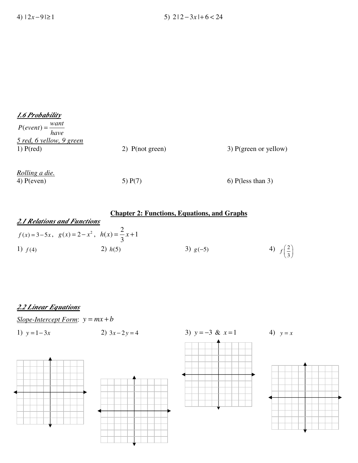| 1.6 Probability                |                   |                         |
|--------------------------------|-------------------|-------------------------|
| $P(event) = \frac{want}{have}$ |                   |                         |
| 5 red, 6 yellow, 9 green       |                   |                         |
| $1)$ P(red)                    | 2) $P(not green)$ | $3)$ P(green or yellow) |
|                                |                   |                         |
| <u>Rolling a die.</u>          |                   |                         |
| $4)$ P(even)                   | 5) $P(7)$         | $6)$ P(less than 3)     |

|                                    |                                                    | <b>Chapter 2: Functions, Equations, and Graphs</b> |                                |
|------------------------------------|----------------------------------------------------|----------------------------------------------------|--------------------------------|
| <b>2.1 Relations and Functions</b> |                                                    |                                                    |                                |
|                                    | $f(x)=3-5x$ , $g(x)=2-x^2$ , $h(x)=\frac{2}{3}x+1$ |                                                    |                                |
| 1) $f(4)$                          | 2) $h(5)$                                          | 3) $g(-5)$                                         | 4) $f\left(\frac{2}{3}\right)$ |

# *2.2 Linear Equations*

*<u>Slope-Intercept Form</u>:*  $y = mx + b$ 

1) 
$$
y = 1-3x
$$
  
2)  $3x-2y = 4$   
3)  $y = -3$  &  $x = 1$   
4)  $y = x$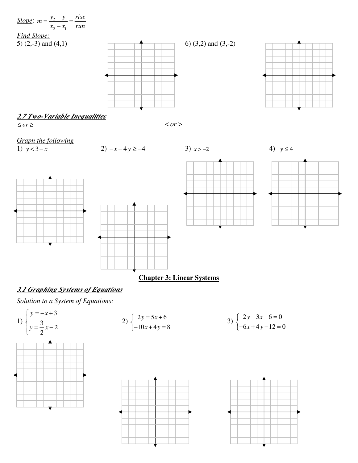

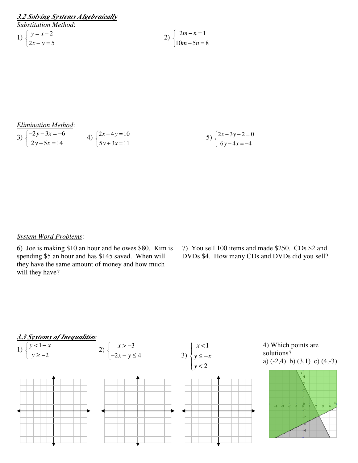| 3.2 Solving Systems Algebraically                    |                                                   |
|------------------------------------------------------|---------------------------------------------------|
| <b>Substitution Method:</b>                          |                                                   |
|                                                      | 2) $\begin{cases} 2m-n=1 \\ 10m-5n=1 \end{cases}$ |
| 1) $\begin{cases} y = x-2 \\ 2x - y = 5 \end{cases}$ |                                                   |

$$
2) \begin{cases} 2m-n=1 \\ 10m-5n=8 \end{cases}
$$

### *Elimination Method*:

3) 
$$
\begin{cases} -2y - 3x = -6 \\ 2y + 5x = 14 \end{cases}
$$
4) 
$$
\begin{cases} 2x + 4y = 10 \\ 5y + 3x = 11 \end{cases}
$$
5) 
$$
\begin{cases} 2x - 3y - 2 = 0 \\ 6y - 4x = -4 \end{cases}
$$

#### *System Word Problems*:

6) Joe is making \$10 an hour and he owes \$80. Kim is spending \$5 an hour and has \$145 saved. When will they have the same amount of money and how much will they have?

7) You sell 100 items and made \$250. CDs \$2 and DVDs \$4. How many CDs and DVDs did you sell?

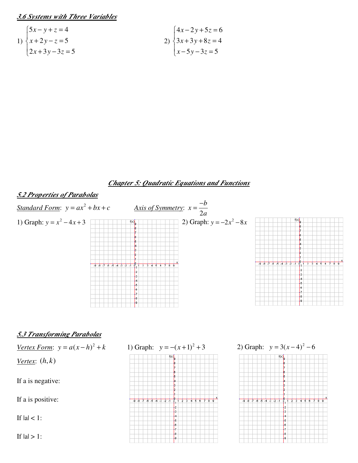*3.6 Systems with Three Variables*

1) 
$$
\begin{cases} 5x - y + z = 4 \\ x + 2y - z = 5 \\ 2x + 3y - 3z = 5 \end{cases}
$$
  
2) 
$$
\begin{cases} 4x - 2y + 5z = 6 \\ 3x + 3y + 8z = 4 \\ x - 5y - 3z = 5 \end{cases}
$$

## *Chapter 5: Quadratic Equations and Functions*



 $\frac{1}{4}$ <br> $\frac{1}{5}$ 

 $\downarrow$ ŀ

∤s ↓ء

ļ4  $\begin{matrix} 1 \ 5 \ 6 \end{matrix}$ 

ł۶

If  $|a| < 1$ :

If  $|a| > 1$ :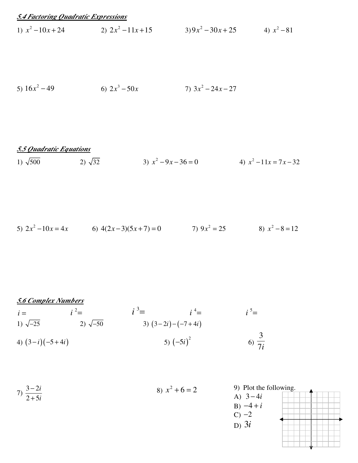## *5.4 Factoring Quadratic Expressions*

1)  $x^2 - 10x + 24$  2)  $2x^2$  $2x^2 - 11x + 15$  3)  $9x^2 - 30x + 25$  4)  $x^2 - 81$ 

5) 
$$
16x^2 - 49
$$
   
6)  $2x^3 - 50x$    
7)  $3x^2 - 24x - 27$ 

*5.5 Quadratic Equations*

1)  $\sqrt{500}$  2)  $\sqrt{32}$  $x^2 - 9x - 36 = 0$  4)  $x^2 - 11x = 7x - 32$ 

5) 
$$
2x^2 - 10x = 4x
$$
 6)  $4(2x-3)(5x+7) = 0$  7)  $9x^2 = 25$  8)  $x^2 - 8 = 12$ 

# *5.6 Complex Numbers*

$$
\begin{array}{ll}\ni = & i^2 = & i^3 = & i^4 = & i^5 = \\
1) \sqrt{-25} & 2) \sqrt{-50} & 3) (3-2i) - (-7+4i) \\
4) (3-i) (-5+4i) & 5) (-5i)^2 & 6) \frac{3}{7i}\n\end{array}
$$

7) 
$$
\frac{3-2i}{2+5i}
$$
  
8)  $x^2 + 6 = 2$   
9) Plot the  
A)  $3-4i$   
B)  $-4+i$ 

the following.  
\n
$$
4i + i
$$

 $C$ )  $-2$ D) 3*i*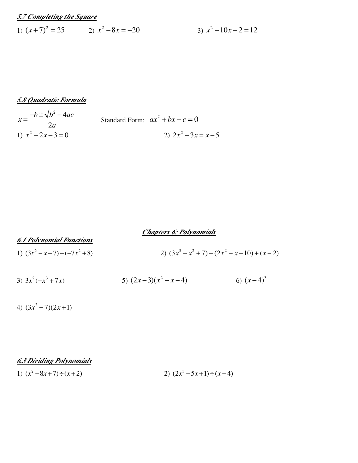## *5.7 Completing the Square*

1)  $(x+7)^2 = 25$  2)  $x^2 - 8x = -20$  3)  $x^2$  $x^2 + 10x - 2 = 12$ 

$$
\frac{5.8 \text{ Quadratic Formula}}{x = \frac{-b \pm \sqrt{b^2 - 4ac}}{2a}}
$$
\nStandard Form:  $ax^2 + bx + c = 0$   
\n1)  $x^2 - 2x - 3 = 0$   
\n2)  $2x^2 - 3x = x - 5$ 

|                                   | <b>Chapters 6: Polynomials</b>                    |
|-----------------------------------|---------------------------------------------------|
| <b>6.1 Polynomial Functions</b>   |                                                   |
| 1) $(3x^2 - x + 7) - (-7x^2 + 8)$ | 2) $(3x^3 - x^2 + 7) - (2x^2 - x - 10) + (x - 2)$ |

|  | 3) $3x^2(-x^3+7x)$ | 5) $(2x-3)(x^2+x-4)$ | 6) $(x-4)^3$ |
|--|--------------------|----------------------|--------------|
|--|--------------------|----------------------|--------------|

4)  $(3x^2 - 7)(2x + 1)$ 

*6.3 Dividing Polynomials*

1)  $(x^2-8x+7) \div (x+2)$  2)  $(2x^3)$  $(2x^3 - 5x + 1) \div (x - 4)$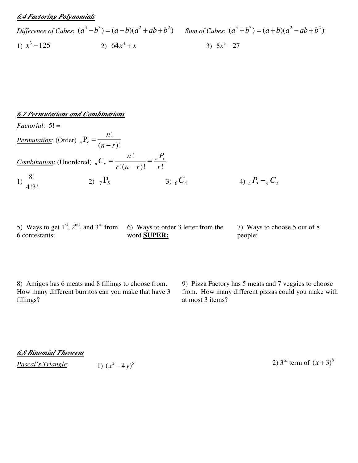### *6.4 Factoring Polynomials*

| Difference of Cubes: | $(a^3 - b^3) = (a - b)(a^2 + ab + b^2)$ | <u>Sum of Cubes:</u> | $(a^3 + b^3) = (a + b)(a^2 - ab + b^2)$ |
|----------------------|-----------------------------------------|----------------------|-----------------------------------------|
| 1) $x^3 - 125$       | 2) $64x^4 + x$                          | 3) $8x^3 - 27$       |                                         |

#### *6.7 Permutations and Combinations*

*Factorial*: 5! =

*Permutation*: (Order) !  $_{n}P_{r} = \frac{n!}{(n-r)!}$ *n*  $n - r$ = − *Combination*: (Unordered) !  $!(n-r)!$   $r!$ *n r*  $n \sim r$  $n!$   $P_{n}$ *C*  $r!(n-r)!$  r  $=\frac{n}{\sqrt{2}}$  = − 1)  $\frac{8!}{1!2!}$ 4!3! 2)  ${}_{7}P_{5}$  3)  ${}_{6}C_{4}$  4)  ${}_{4}P_{3} - {}_{3}C_{2}$ 

5) Ways to get  $1<sup>st</sup>$ ,  $2<sup>nd</sup>$ , and  $3<sup>rd</sup>$  from 6 contestants:

6) Ways to order 3 letter from the word **SUPER:**

7) Ways to choose 5 out of 8 people:

8) Amigos has 6 meats and 8 fillings to choose from. How many different burritos can you make that have 3 fillings?

9) Pizza Factory has 5 meats and 7 veggies to choose from. How many different pizzas could you make with at most 3 items?

| <b>6.8 Binomial Theorem</b> |  |
|-----------------------------|--|
|-----------------------------|--|

*Pascal's Triangle*:  $1) (x^2 - 4y)^5$ 

2)  $3^{\text{rd}}$  term of  $(x+3)^8$